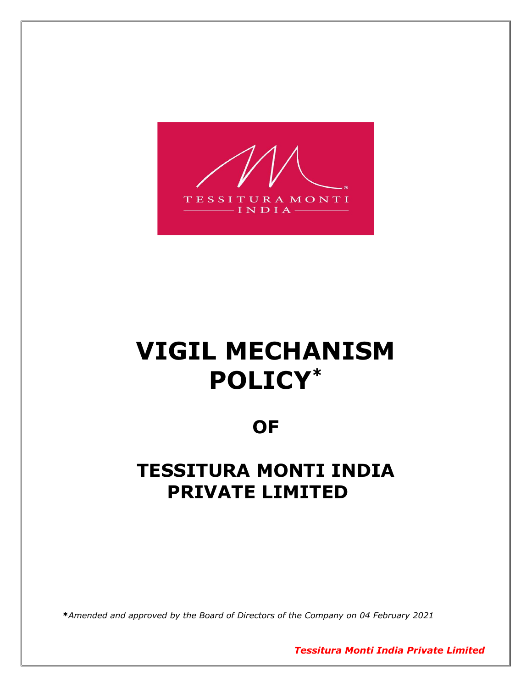

# **VIGIL MECHANISM POLICY\***

### **OF**

## **TESSITURA MONTI INDIA PRIVATE LIMITED**

**\****Amended and approved by the Board of Directors of the Company on 04 February 2021*

*Tessitura Monti India Private Limited*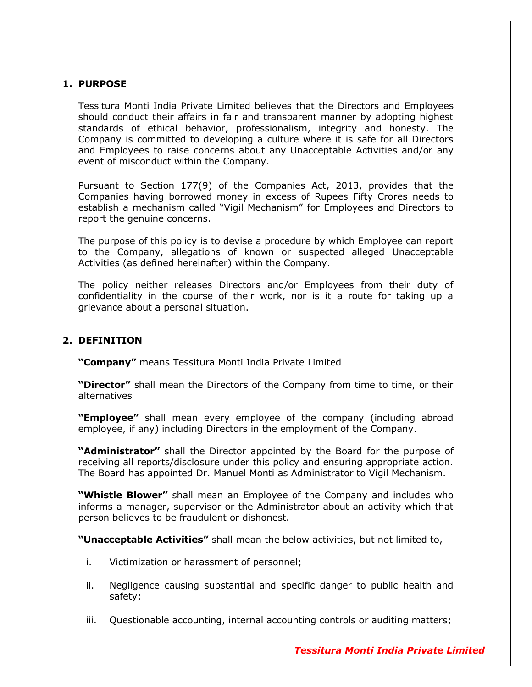#### **1. PURPOSE**

Tessitura Monti India Private Limited believes that the Directors and Employees should conduct their affairs in fair and transparent manner by adopting highest standards of ethical behavior, professionalism, integrity and honesty. The Company is committed to developing a culture where it is safe for all Directors and Employees to raise concerns about any Unacceptable Activities and/or any event of misconduct within the Company.

Pursuant to Section 177(9) of the Companies Act, 2013, provides that the Companies having borrowed money in excess of Rupees Fifty Crores needs to establish a mechanism called "Vigil Mechanism" for Employees and Directors to report the genuine concerns.

The purpose of this policy is to devise a procedure by which Employee can report to the Company, allegations of known or suspected alleged Unacceptable Activities (as defined hereinafter) within the Company.

The policy neither releases Directors and/or Employees from their duty of confidentiality in the course of their work, nor is it a route for taking up a grievance about a personal situation.

#### **2. DEFINITION**

**"Company"** means Tessitura Monti India Private Limited

**"Director"** shall mean the Directors of the Company from time to time, or their alternatives

**"Employee"** shall mean every employee of the company (including abroad employee, if any) including Directors in the employment of the Company.

**"Administrator"** shall the Director appointed by the Board for the purpose of receiving all reports/disclosure under this policy and ensuring appropriate action. The Board has appointed Dr. Manuel Monti as Administrator to Vigil Mechanism.

**"Whistle Blower"** shall mean an Employee of the Company and includes who informs a manager, supervisor or the Administrator about an activity which that person believes to be fraudulent or dishonest.

**"Unacceptable Activities"** shall mean the below activities, but not limited to,

- i. Victimization or harassment of personnel;
- ii. Negligence causing substantial and specific danger to public health and safety;
- iii. Questionable accounting, internal accounting controls or auditing matters;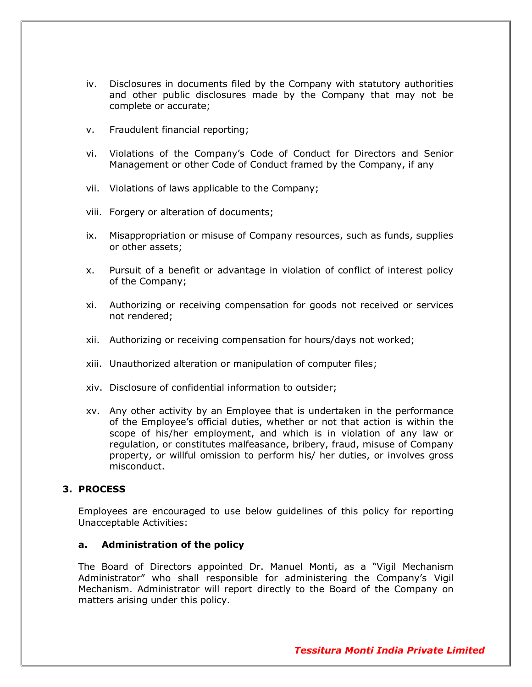- iv. Disclosures in documents filed by the Company with statutory authorities and other public disclosures made by the Company that may not be complete or accurate;
- v. Fraudulent financial reporting;
- vi. Violations of the Company's Code of Conduct for Directors and Senior Management or other Code of Conduct framed by the Company, if any
- vii. Violations of laws applicable to the Company;
- viii. Forgery or alteration of documents;
- ix. Misappropriation or misuse of Company resources, such as funds, supplies or other assets;
- x. Pursuit of a benefit or advantage in violation of conflict of interest policy of the Company;
- xi. Authorizing or receiving compensation for goods not received or services not rendered;
- xii. Authorizing or receiving compensation for hours/days not worked;
- xiii. Unauthorized alteration or manipulation of computer files;
- xiv. Disclosure of confidential information to outsider;
- xv. Any other activity by an Employee that is undertaken in the performance of the Employee's official duties, whether or not that action is within the scope of his/her employment, and which is in violation of any law or regulation, or constitutes malfeasance, bribery, fraud, misuse of Company property, or willful omission to perform his/ her duties, or involves gross misconduct.

#### **3. PROCESS**

Employees are encouraged to use below guidelines of this policy for reporting Unacceptable Activities:

#### **a. Administration of the policy**

The Board of Directors appointed Dr. Manuel Monti, as a "Vigil Mechanism Administrator" who shall responsible for administering the Company's Vigil Mechanism. Administrator will report directly to the Board of the Company on matters arising under this policy.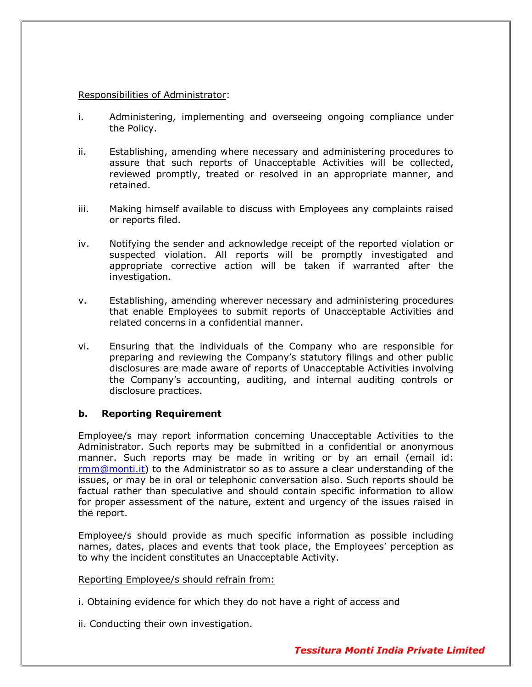#### Responsibilities of Administrator:

- i. Administering, implementing and overseeing ongoing compliance under the Policy.
- ii. Establishing, amending where necessary and administering procedures to assure that such reports of Unacceptable Activities will be collected, reviewed promptly, treated or resolved in an appropriate manner, and retained.
- iii. Making himself available to discuss with Employees any complaints raised or reports filed.
- iv. Notifying the sender and acknowledge receipt of the reported violation or suspected violation. All reports will be promptly investigated and appropriate corrective action will be taken if warranted after the investigation.
- v. Establishing, amending wherever necessary and administering procedures that enable Employees to submit reports of Unacceptable Activities and related concerns in a confidential manner.
- vi. Ensuring that the individuals of the Company who are responsible for preparing and reviewing the Company's statutory filings and other public disclosures are made aware of reports of Unacceptable Activities involving the Company's accounting, auditing, and internal auditing controls or disclosure practices.

#### **b. Reporting Requirement**

Employee/s may report information concerning Unacceptable Activities to the Administrator. Such reports may be submitted in a confidential or anonymous manner. Such reports may be made in writing or by an email (email id: [rmm@monti.it\)](mailto:kelkar@monti.co.in) to the Administrator so as to assure a clear understanding of the issues, or may be in oral or telephonic conversation also. Such reports should be factual rather than speculative and should contain specific information to allow for proper assessment of the nature, extent and urgency of the issues raised in the report.

Employee/s should provide as much specific information as possible including names, dates, places and events that took place, the Employees' perception as to why the incident constitutes an Unacceptable Activity.

#### Reporting Employee/s should refrain from:

- i. Obtaining evidence for which they do not have a right of access and
- ii. Conducting their own investigation.